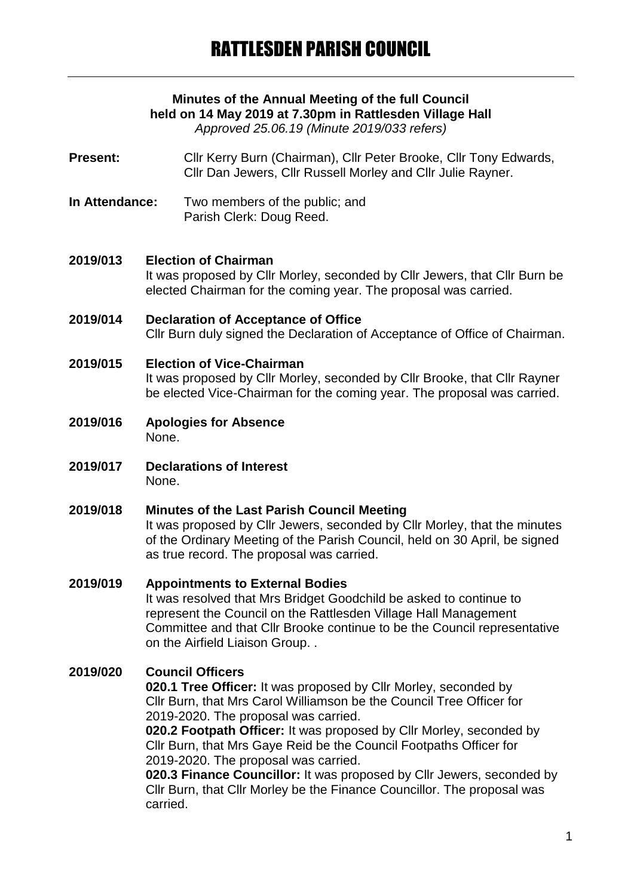# **Minutes of the Annual Meeting of the full Council held on 14 May 2019 at 7.30pm in Rattlesden Village Hall**

*Approved 25.06.19 (Minute 2019/033 refers)*

**Present:** Cllr Kerry Burn (Chairman), Cllr Peter Brooke, Cllr Tony Edwards, Cllr Dan Jewers, Cllr Russell Morley and Cllr Julie Rayner.

**In Attendance:** Two members of the public; and Parish Clerk: Doug Reed.

#### **2019/013 Election of Chairman**

It was proposed by Cllr Morley, seconded by Cllr Jewers, that Cllr Burn be elected Chairman for the coming year. The proposal was carried.

#### **2019/014 Declaration of Acceptance of Office** Cllr Burn duly signed the Declaration of Acceptance of Office of Chairman.

# **2019/015 Election of Vice-Chairman** It was proposed by Cllr Morley, seconded by Cllr Brooke, that Cllr Rayner be elected Vice-Chairman for the coming year. The proposal was carried.

- **2019/016 Apologies for Absence** None.
- **2019/017 Declarations of Interest** None.

# **2019/018 Minutes of the Last Parish Council Meeting**

It was proposed by Cllr Jewers, seconded by Cllr Morley, that the minutes of the Ordinary Meeting of the Parish Council, held on 30 April, be signed as true record. The proposal was carried.

# **2019/019 Appointments to External Bodies**

It was resolved that Mrs Bridget Goodchild be asked to continue to represent the Council on the Rattlesden Village Hall Management Committee and that Cllr Brooke continue to be the Council representative on the Airfield Liaison Group. .

# **2019/020 Council Officers**

**020.1 Tree Officer:** It was proposed by Cllr Morley, seconded by Cllr Burn, that Mrs Carol Williamson be the Council Tree Officer for 2019-2020. The proposal was carried.

**020.2 Footpath Officer:** It was proposed by Cllr Morley, seconded by Cllr Burn, that Mrs Gaye Reid be the Council Footpaths Officer for 2019-2020. The proposal was carried.

**020.3 Finance Councillor:** It was proposed by Cllr Jewers, seconded by Cllr Burn, that Cllr Morley be the Finance Councillor. The proposal was carried.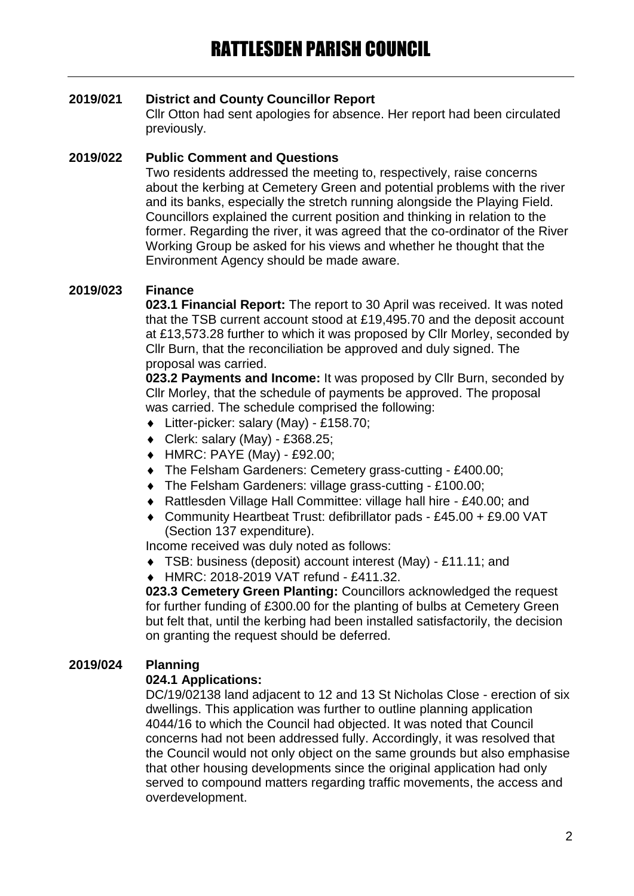# **2019/021 District and County Councillor Report**

Cllr Otton had sent apologies for absence. Her report had been circulated previously.

# **2019/022 Public Comment and Questions**

Two residents addressed the meeting to, respectively, raise concerns about the kerbing at Cemetery Green and potential problems with the river and its banks, especially the stretch running alongside the Playing Field. Councillors explained the current position and thinking in relation to the former. Regarding the river, it was agreed that the co-ordinator of the River Working Group be asked for his views and whether he thought that the Environment Agency should be made aware.

# **2019/023 Finance**

**023.1 Financial Report:** The report to 30 April was received. It was noted that the TSB current account stood at £19,495.70 and the deposit account at £13,573.28 further to which it was proposed by Cllr Morley, seconded by Cllr Burn, that the reconciliation be approved and duly signed. The proposal was carried.

**023.2 Payments and Income:** It was proposed by Cllr Burn, seconded by Cllr Morley, that the schedule of payments be approved. The proposal was carried. The schedule comprised the following:

- Litter-picker: salary (May) £158.70;
- $\bullet$  Clerk: salary (May) £368.25;
- HMRC: PAYE (May) £92.00;
- The Felsham Gardeners: Cemetery grass-cutting £400.00;
- The Felsham Gardeners: village grass-cutting £100.00;
- Rattlesden Village Hall Committee: village hall hire £40.00; and
- Community Heartbeat Trust: defibrillator pads £45.00 + £9.00 VAT (Section 137 expenditure).

Income received was duly noted as follows:

- TSB: business (deposit) account interest (May) £11.11; and
- HMRC: 2018-2019 VAT refund £411.32.

**023.3 Cemetery Green Planting:** Councillors acknowledged the request for further funding of £300.00 for the planting of bulbs at Cemetery Green but felt that, until the kerbing had been installed satisfactorily, the decision on granting the request should be deferred.

# **2019/024 Planning**

# **024.1 Applications:**

DC/19/02138 land adjacent to 12 and 13 St Nicholas Close - erection of six dwellings. This application was further to outline planning application 4044/16 to which the Council had objected. It was noted that Council concerns had not been addressed fully. Accordingly, it was resolved that the Council would not only object on the same grounds but also emphasise that other housing developments since the original application had only served to compound matters regarding traffic movements, the access and overdevelopment.